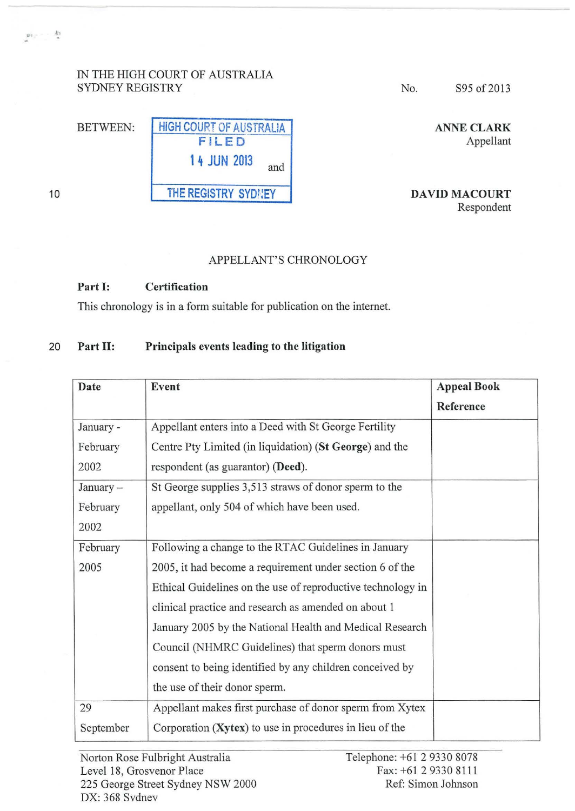## IN THE HIGH COURT OF AUSTRALIA SYDNEY REGISTRY

| <b>BETWEEN:</b> | <b>HIGH COURT OF AUSTRALIA</b> |  |
|-----------------|--------------------------------|--|
|                 | FILED                          |  |
|                 | <b>14 JUN 2013</b><br>and      |  |
|                 | THE REGISTRY SYDNEY            |  |

No. S95 of 2013

ANNE CLARK Appellant

DAVID MACOURT Respondent

## APPELLANT'S CHRONOLOGY

## Part 1: Certification

This chronology is in a form suitable for publication on the internet.

## 20 Part II: Principals events leading to the litigation

| Date      | Event                                                       | <b>Appeal Book</b> |
|-----------|-------------------------------------------------------------|--------------------|
|           |                                                             | Reference          |
| January - | Appellant enters into a Deed with St George Fertility       |                    |
| February  | Centre Pty Limited (in liquidation) (St George) and the     |                    |
| 2002      | respondent (as guarantor) (Deed).                           |                    |
| January - | St George supplies 3,513 straws of donor sperm to the       |                    |
| February  | appellant, only 504 of which have been used.                |                    |
| 2002      |                                                             |                    |
| February  | Following a change to the RTAC Guidelines in January        |                    |
| 2005      | 2005, it had become a requirement under section 6 of the    |                    |
|           | Ethical Guidelines on the use of reproductive technology in |                    |
|           | clinical practice and research as amended on about 1        |                    |
|           | January 2005 by the National Health and Medical Research    |                    |
|           | Council (NHMRC Guidelines) that sperm donors must           |                    |
|           | consent to being identified by any children conceived by    |                    |
|           | the use of their donor sperm.                               |                    |
| 29        | Appellant makes first purchase of donor sperm from Xytex    |                    |
| September | Corporation (Xytex) to use in procedures in lieu of the     |                    |

10

 $\label{eq:3.1} \begin{array}{ccc} \mathfrak{g}_{1,1} & \cdots & \begin{array}{c} k_1 \\ k \end{array} \end{array}$